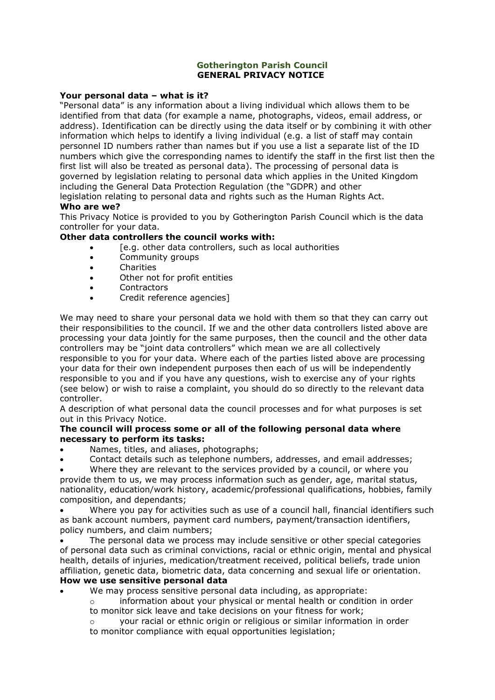#### **Gotherington Parish Council GENERAL PRIVACY NOTICE**

#### **Your personal data – what is it?**

"Personal data" is any information about a living individual which allows them to be identified from that data (for example a name, photographs, videos, email address, or address). Identification can be directly using the data itself or by combining it with other information which helps to identify a living individual (e.g. a list of staff may contain personnel ID numbers rather than names but if you use a list a separate list of the ID numbers which give the corresponding names to identify the staff in the first list then the first list will also be treated as personal data). The processing of personal data is governed by legislation relating to personal data which applies in the United Kingdom including the General Data Protection Regulation (the "GDPR) and other legislation relating to personal data and rights such as the Human Rights Act.

### **Who are we?**

This Privacy Notice is provided to you by Gotherington Parish Council which is the data controller for your data.

### **Other data controllers the council works with:**

- [e.g. other data controllers, such as local authorities
- Community groups
- Charities
- Other not for profit entities
- **Contractors**
- Credit reference agencies]

We may need to share your personal data we hold with them so that they can carry out their responsibilities to the council. If we and the other data controllers listed above are processing your data jointly for the same purposes, then the council and the other data controllers may be "joint data controllers" which mean we are all collectively responsible to you for your data. Where each of the parties listed above are processing your data for their own independent purposes then each of us will be independently responsible to you and if you have any questions, wish to exercise any of your rights (see below) or wish to raise a complaint, you should do so directly to the relevant data controller.

A description of what personal data the council processes and for what purposes is set out in this Privacy Notice.

### **The council will process some or all of the following personal data where necessary to perform its tasks:**

- Names, titles, and aliases, photographs;
- Contact details such as telephone numbers, addresses, and email addresses;

Where they are relevant to the services provided by a council, or where you provide them to us, we may process information such as gender, age, marital status, nationality, education/work history, academic/professional qualifications, hobbies, family composition, and dependants;

• Where you pay for activities such as use of a council hall, financial identifiers such as bank account numbers, payment card numbers, payment/transaction identifiers, policy numbers, and claim numbers;

The personal data we process may include sensitive or other special categories of personal data such as criminal convictions, racial or ethnic origin, mental and physical health, details of injuries, medication/treatment received, political beliefs, trade union affiliation, genetic data, biometric data, data concerning and sexual life or orientation. **How we use sensitive personal data**

- We may process sensitive personal data including, as appropriate:
	- o information about your physical or mental health or condition in order to monitor sick leave and take decisions on your fitness for work;

o your racial or ethnic origin or religious or similar information in order to monitor compliance with equal opportunities legislation;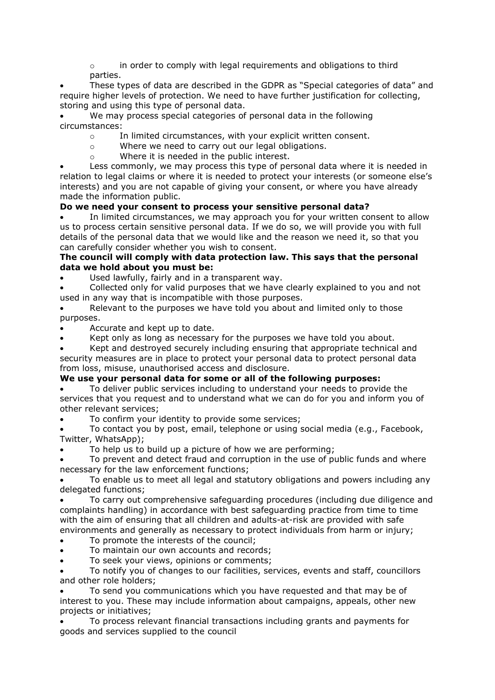$\circ$  in order to comply with legal requirements and obligations to third parties.

• These types of data are described in the GDPR as "Special categories of data" and require higher levels of protection. We need to have further justification for collecting, storing and using this type of personal data.

We may process special categories of personal data in the following circumstances:

- o In limited circumstances, with your explicit written consent.
- o Where we need to carry out our legal obligations.
- o Where it is needed in the public interest.

Less commonly, we may process this type of personal data where it is needed in relation to legal claims or where it is needed to protect your interests (or someone else's interests) and you are not capable of giving your consent, or where you have already made the information public.

### **Do we need your consent to process your sensitive personal data?**

In limited circumstances, we may approach you for your written consent to allow us to process certain sensitive personal data. If we do so, we will provide you with full details of the personal data that we would like and the reason we need it, so that you can carefully consider whether you wish to consent.

#### **The council will comply with data protection law. This says that the personal data we hold about you must be:**

Used lawfully, fairly and in a transparent way.

• Collected only for valid purposes that we have clearly explained to you and not used in any way that is incompatible with those purposes.

Relevant to the purposes we have told you about and limited only to those purposes.

• Accurate and kept up to date.

Kept only as long as necessary for the purposes we have told you about.

• Kept and destroyed securely including ensuring that appropriate technical and security measures are in place to protect your personal data to protect personal data from loss, misuse, unauthorised access and disclosure.

## **We use your personal data for some or all of the following purposes:**

• To deliver public services including to understand your needs to provide the services that you request and to understand what we can do for you and inform you of other relevant services;

To confirm your identity to provide some services;

• To contact you by post, email, telephone or using social media (e.g., Facebook, Twitter, WhatsApp);

• To help us to build up a picture of how we are performing;

To prevent and detect fraud and corruption in the use of public funds and where necessary for the law enforcement functions;

• To enable us to meet all legal and statutory obligations and powers including any delegated functions;

• To carry out comprehensive safeguarding procedures (including due diligence and complaints handling) in accordance with best safeguarding practice from time to time with the aim of ensuring that all children and adults-at-risk are provided with safe environments and generally as necessary to protect individuals from harm or injury;

- To promote the interests of the council;
- To maintain our own accounts and records;
- To seek your views, opinions or comments;

• To notify you of changes to our facilities, services, events and staff, councillors and other role holders;

• To send you communications which you have requested and that may be of interest to you. These may include information about campaigns, appeals, other new projects or initiatives;

• To process relevant financial transactions including grants and payments for goods and services supplied to the council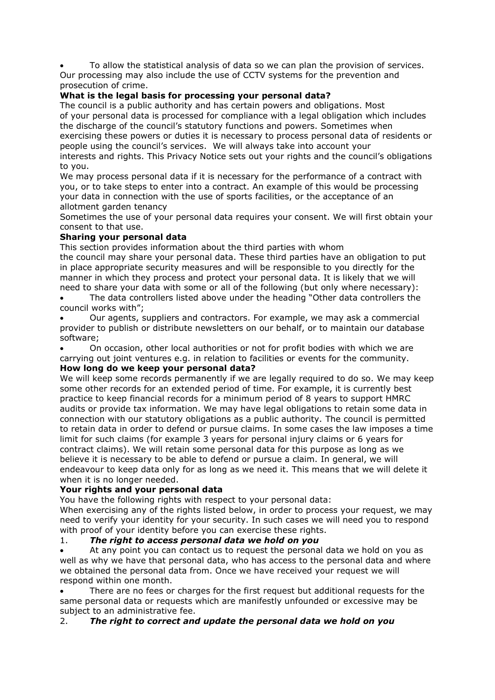• To allow the statistical analysis of data so we can plan the provision of services. Our processing may also include the use of CCTV systems for the prevention and prosecution of crime.

## **What is the legal basis for processing your personal data?**

The council is a public authority and has certain powers and obligations. Most of your personal data is processed for compliance with a legal obligation which includes the discharge of the council's statutory functions and powers. Sometimes when exercising these powers or duties it is necessary to process personal data of residents or people using the council's services. We will always take into account your interests and rights. This Privacy Notice sets out your rights and the council's obligations to you.

We may process personal data if it is necessary for the performance of a contract with you, or to take steps to enter into a contract. An example of this would be processing your data in connection with the use of sports facilities, or the acceptance of an allotment garden tenancy

Sometimes the use of your personal data requires your consent. We will first obtain your consent to that use.

## **Sharing your personal data**

This section provides information about the third parties with whom

the council may share your personal data. These third parties have an obligation to put in place appropriate security measures and will be responsible to you directly for the manner in which they process and protect your personal data. It is likely that we will need to share your data with some or all of the following (but only where necessary):

The data controllers listed above under the heading "Other data controllers the council works with";

• Our agents, suppliers and contractors. For example, we may ask a commercial provider to publish or distribute newsletters on our behalf, or to maintain our database software;

• On occasion, other local authorities or not for profit bodies with which we are carrying out joint ventures e.g. in relation to facilities or events for the community. **How long do we keep your personal data?**

We will keep some records permanently if we are legally required to do so. We may keep some other records for an extended period of time. For example, it is currently best practice to keep financial records for a minimum period of 8 years to support HMRC audits or provide tax information. We may have legal obligations to retain some data in connection with our statutory obligations as a public authority. The council is permitted to retain data in order to defend or pursue claims. In some cases the law imposes a time limit for such claims (for example 3 years for personal injury claims or 6 years for contract claims). We will retain some personal data for this purpose as long as we believe it is necessary to be able to defend or pursue a claim. In general, we will endeavour to keep data only for as long as we need it. This means that we will delete it when it is no longer needed.

## **Your rights and your personal data**

You have the following rights with respect to your personal data:

When exercising any of the rights listed below, in order to process your request, we may need to verify your identity for your security. In such cases we will need you to respond with proof of your identity before you can exercise these rights.

## 1. *The right to access personal data we hold on you*

• At any point you can contact us to request the personal data we hold on you as well as why we have that personal data, who has access to the personal data and where we obtained the personal data from. Once we have received your request we will respond within one month.

There are no fees or charges for the first request but additional requests for the same personal data or requests which are manifestly unfounded or excessive may be subject to an administrative fee.

## 2. *The right to correct and update the personal data we hold on you*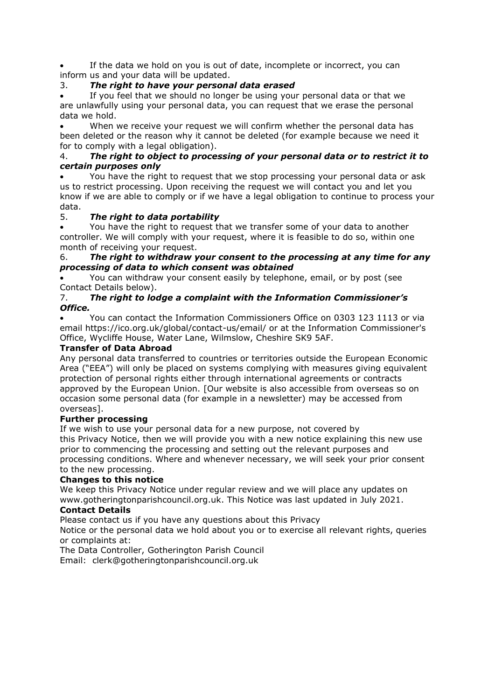If the data we hold on you is out of date, incomplete or incorrect, you can inform us and your data will be updated.

# 3. *The right to have your personal data erased*

If you feel that we should no longer be using your personal data or that we are unlawfully using your personal data, you can request that we erase the personal data we hold.

When we receive your request we will confirm whether the personal data has been deleted or the reason why it cannot be deleted (for example because we need it for to comply with a legal obligation).

## 4. *The right to object to processing of your personal data or to restrict it to certain purposes only*

• You have the right to request that we stop processing your personal data or ask us to restrict processing. Upon receiving the request we will contact you and let you know if we are able to comply or if we have a legal obligation to continue to process your data.

# 5. *The right to data portability*

• You have the right to request that we transfer some of your data to another controller. We will comply with your request, where it is feasible to do so, within one month of receiving your request.

## 6. *The right to withdraw your consent to the processing at any time for any processing of data to which consent was obtained*

• You can withdraw your consent easily by telephone, email, or by post (see Contact Details below).

## 7. *The right to lodge a complaint with the Information Commissioner's Office.*

• You can contact the Information Commissioners Office on 0303 123 1113 or via email https://ico.org.uk/global/contact-us/email/ or at the Information Commissioner's Office, Wycliffe House, Water Lane, Wilmslow, Cheshire SK9 5AF.

## **Transfer of Data Abroad**

Any personal data transferred to countries or territories outside the European Economic Area ("EEA") will only be placed on systems complying with measures giving equivalent protection of personal rights either through international agreements or contracts approved by the European Union. [Our website is also accessible from overseas so on occasion some personal data (for example in a newsletter) may be accessed from overseas].

## **Further processing**

If we wish to use your personal data for a new purpose, not covered by this Privacy Notice, then we will provide you with a new notice explaining this new use prior to commencing the processing and setting out the relevant purposes and processing conditions. Where and whenever necessary, we will seek your prior consent to the new processing.

## **Changes to this notice**

We keep this Privacy Notice under regular review and we will place any updates on www.gotheringtonparishcouncil.org.uk. This Notice was last updated in July 2021.

# **Contact Details**

Please contact us if you have any questions about this Privacy

Notice or the personal data we hold about you or to exercise all relevant rights, queries or complaints at:

The Data Controller, Gotherington Parish Council

Email: clerk@gotheringtonparishcouncil.org.uk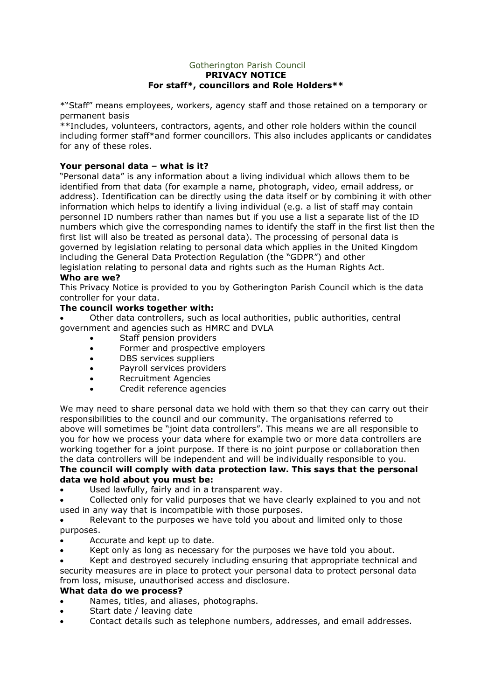#### Gotherington Parish Council **PRIVACY NOTICE For staff\*, councillors and Role Holders\*\***

\*"Staff" means employees, workers, agency staff and those retained on a temporary or permanent basis

\*\*Includes, volunteers, contractors, agents, and other role holders within the council including former staff\*and former councillors. This also includes applicants or candidates for any of these roles.

## **Your personal data – what is it?**

"Personal data" is any information about a living individual which allows them to be identified from that data (for example a name, photograph, video, email address, or address). Identification can be directly using the data itself or by combining it with other information which helps to identify a living individual (e.g. a list of staff may contain personnel ID numbers rather than names but if you use a list a separate list of the ID numbers which give the corresponding names to identify the staff in the first list then the first list will also be treated as personal data). The processing of personal data is governed by legislation relating to personal data which applies in the United Kingdom including the General Data Protection Regulation (the "GDPR") and other legislation relating to personal data and rights such as the Human Rights Act. **Who are we?**

#### This Privacy Notice is provided to you by Gotherington Parish Council which is the data controller for your data.

### **The council works together with:**

• Other data controllers, such as local authorities, public authorities, central government and agencies such as HMRC and DVLA

- Staff pension providers
- Former and prospective employers
- DBS services suppliers
- Payroll services providers
- Recruitment Agencies
- Credit reference agencies

We may need to share personal data we hold with them so that they can carry out their responsibilities to the council and our community. The organisations referred to above will sometimes be "joint data controllers". This means we are all responsible to you for how we process your data where for example two or more data controllers are working together for a joint purpose. If there is no joint purpose or collaboration then the data controllers will be independent and will be individually responsible to you. **The council will comply with data protection law. This says that the personal data we hold about you must be:**

Used lawfully, fairly and in a transparent way.

• Collected only for valid purposes that we have clearly explained to you and not used in any way that is incompatible with those purposes.

Relevant to the purposes we have told you about and limited only to those purposes.

- Accurate and kept up to date.
- Kept only as long as necessary for the purposes we have told you about.

• Kept and destroyed securely including ensuring that appropriate technical and security measures are in place to protect your personal data to protect personal data from loss, misuse, unauthorised access and disclosure.

#### **What data do we process?**

- Names, titles, and aliases, photographs.
- Start date / leaving date
- Contact details such as telephone numbers, addresses, and email addresses.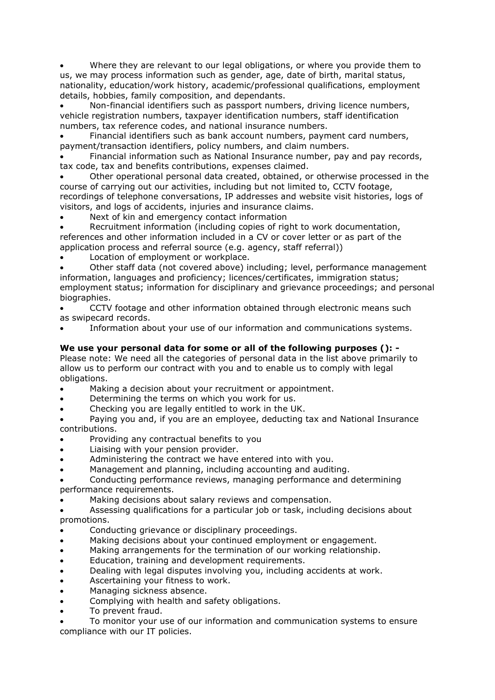• Where they are relevant to our legal obligations, or where you provide them to us, we may process information such as gender, age, date of birth, marital status, nationality, education/work history, academic/professional qualifications, employment details, hobbies, family composition, and dependants.

• Non-financial identifiers such as passport numbers, driving licence numbers, vehicle registration numbers, taxpayer identification numbers, staff identification numbers, tax reference codes, and national insurance numbers.

• Financial identifiers such as bank account numbers, payment card numbers, payment/transaction identifiers, policy numbers, and claim numbers.

• Financial information such as National Insurance number, pay and pay records, tax code, tax and benefits contributions, expenses claimed.

• Other operational personal data created, obtained, or otherwise processed in the course of carrying out our activities, including but not limited to, CCTV footage, recordings of telephone conversations, IP addresses and website visit histories, logs of visitors, and logs of accidents, injuries and insurance claims.

Next of kin and emergency contact information

Recruitment information (including copies of right to work documentation, references and other information included in a CV or cover letter or as part of the application process and referral source (e.g. agency, staff referral))

Location of employment or workplace.

• Other staff data (not covered above) including; level, performance management information, languages and proficiency; licences/certificates, immigration status; employment status; information for disciplinary and grievance proceedings; and personal biographies.

• CCTV footage and other information obtained through electronic means such as swipecard records.

• Information about your use of our information and communications systems.

## **We use your personal data for some or all of the following purposes (): -**

Please note: We need all the categories of personal data in the list above primarily to allow us to perform our contract with you and to enable us to comply with legal obligations.

- Making a decision about your recruitment or appointment.
- Determining the terms on which you work for us.
- Checking you are legally entitled to work in the UK.

• Paying you and, if you are an employee, deducting tax and National Insurance contributions.

- Providing any contractual benefits to you
- Liaising with your pension provider.
- Administering the contract we have entered into with you.
- Management and planning, including accounting and auditing.

• Conducting performance reviews, managing performance and determining performance requirements.

Making decisions about salary reviews and compensation.

• Assessing qualifications for a particular job or task, including decisions about promotions.

- Conducting grievance or disciplinary proceedings.
- Making decisions about your continued employment or engagement.
- Making arrangements for the termination of our working relationship.
- Education, training and development requirements.
- Dealing with legal disputes involving you, including accidents at work.
- Ascertaining your fitness to work.
- Managing sickness absence.
- Complying with health and safety obligations.
- To prevent fraud.

• To monitor your use of our information and communication systems to ensure compliance with our IT policies.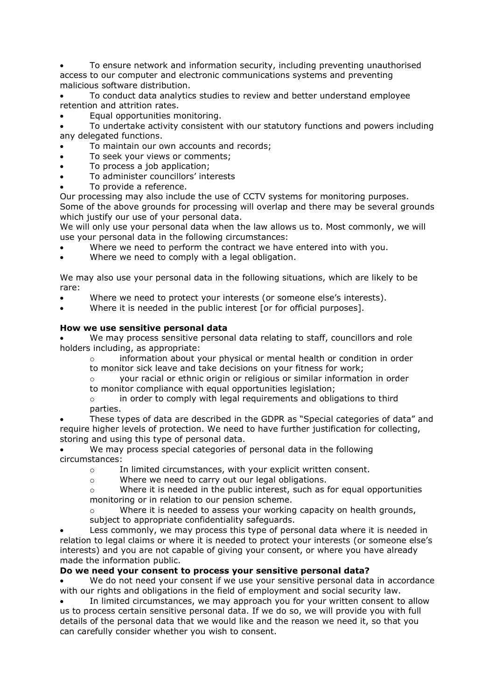• To ensure network and information security, including preventing unauthorised access to our computer and electronic communications systems and preventing malicious software distribution.

• To conduct data analytics studies to review and better understand employee retention and attrition rates.

• Equal opportunities monitoring.

• To undertake activity consistent with our statutory functions and powers including any delegated functions.

• To maintain our own accounts and records;

- To seek your views or comments;
- To process a job application;
- To administer councillors' interests
- To provide a reference.

Our processing may also include the use of CCTV systems for monitoring purposes. Some of the above grounds for processing will overlap and there may be several grounds which justify our use of your personal data.

We will only use your personal data when the law allows us to. Most commonly, we will use your personal data in the following circumstances:

- Where we need to perform the contract we have entered into with you.
- Where we need to comply with a legal obligation.

We may also use your personal data in the following situations, which are likely to be rare:

- Where we need to protect your interests (or someone else's interests).
- Where it is needed in the public interest [or for official purposes].

### **How we use sensitive personal data**

We may process sensitive personal data relating to staff, councillors and role holders including, as appropriate:

o information about your physical or mental health or condition in order to monitor sick leave and take decisions on your fitness for work;

o your racial or ethnic origin or religious or similar information in order

to monitor compliance with equal opportunities legislation;

 $\circ$  in order to comply with legal requirements and obligations to third parties.

• These types of data are described in the GDPR as "Special categories of data" and require higher levels of protection. We need to have further justification for collecting, storing and using this type of personal data.

We may process special categories of personal data in the following circumstances:

- o In limited circumstances, with your explicit written consent.
- o Where we need to carry out our legal obligations.

 $\circ$  Where it is needed in the public interest, such as for equal opportunities monitoring or in relation to our pension scheme.

Where it is needed to assess your working capacity on health grounds, subject to appropriate confidentiality safeguards.

Less commonly, we may process this type of personal data where it is needed in relation to legal claims or where it is needed to protect your interests (or someone else's interests) and you are not capable of giving your consent, or where you have already made the information public.

## **Do we need your consent to process your sensitive personal data?**

We do not need your consent if we use your sensitive personal data in accordance with our rights and obligations in the field of employment and social security law.

In limited circumstances, we may approach you for your written consent to allow us to process certain sensitive personal data. If we do so, we will provide you with full details of the personal data that we would like and the reason we need it, so that you can carefully consider whether you wish to consent.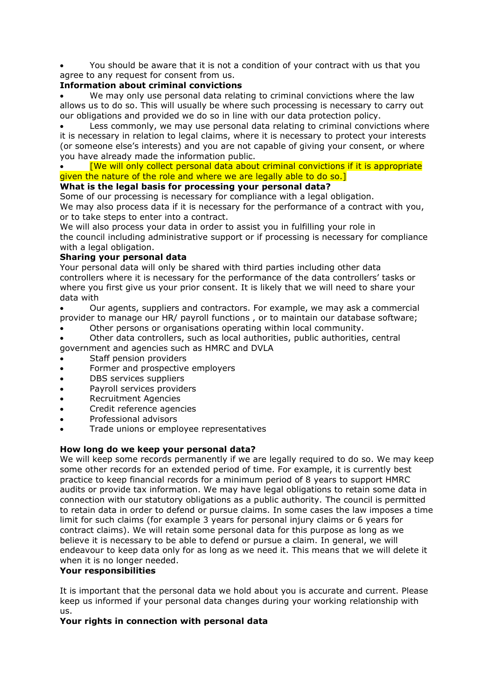• You should be aware that it is not a condition of your contract with us that you agree to any request for consent from us.

### **Information about criminal convictions**

• We may only use personal data relating to criminal convictions where the law allows us to do so. This will usually be where such processing is necessary to carry out our obligations and provided we do so in line with our data protection policy.

Less commonly, we may use personal data relating to criminal convictions where it is necessary in relation to legal claims, where it is necessary to protect your interests (or someone else's interests) and you are not capable of giving your consent, or where you have already made the information public.

## • [We will only collect personal data about criminal convictions if it is appropriate given the nature of the role and where we are legally able to do so.]

### **What is the legal basis for processing your personal data?**

Some of our processing is necessary for compliance with a legal obligation.

We may also process data if it is necessary for the performance of a contract with you, or to take steps to enter into a contract.

We will also process your data in order to assist you in fulfilling your role in the council including administrative support or if processing is necessary for compliance with a legal obligation.

### **Sharing your personal data**

Your personal data will only be shared with third parties including other data controllers where it is necessary for the performance of the data controllers' tasks or where you first give us your prior consent. It is likely that we will need to share your data with

• Our agents, suppliers and contractors. For example, we may ask a commercial provider to manage our HR/ payroll functions , or to maintain our database software;

Other persons or organisations operating within local community.

• Other data controllers, such as local authorities, public authorities, central government and agencies such as HMRC and DVLA

- Staff pension providers
- Former and prospective employers
- DBS services suppliers
- Payroll services providers
- Recruitment Agencies
- Credit reference agencies
- Professional advisors
- Trade unions or employee representatives

#### **How long do we keep your personal data?**

We will keep some records permanently if we are legally required to do so. We may keep some other records for an extended period of time. For example, it is currently best practice to keep financial records for a minimum period of 8 years to support HMRC audits or provide tax information. We may have legal obligations to retain some data in connection with our statutory obligations as a public authority. The council is permitted to retain data in order to defend or pursue claims. In some cases the law imposes a time limit for such claims (for example 3 years for personal injury claims or 6 years for contract claims). We will retain some personal data for this purpose as long as we believe it is necessary to be able to defend or pursue a claim. In general, we will endeavour to keep data only for as long as we need it. This means that we will delete it when it is no longer needed.

#### **Your responsibilities**

It is important that the personal data we hold about you is accurate and current. Please keep us informed if your personal data changes during your working relationship with us.

## **Your rights in connection with personal data**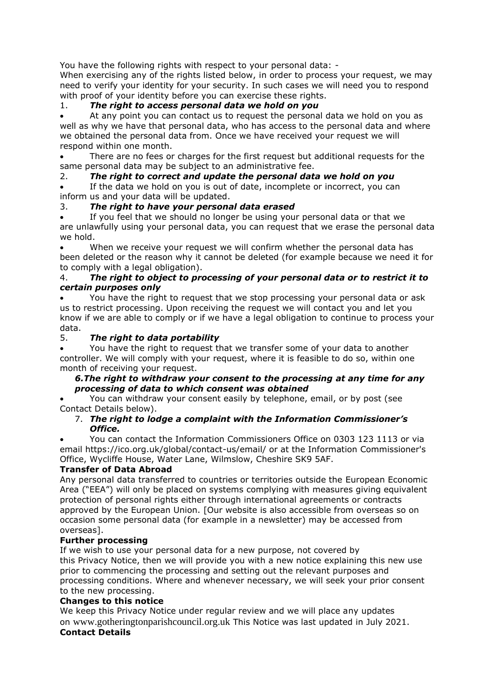You have the following rights with respect to your personal data: -

When exercising any of the rights listed below, in order to process your request, we may need to verify your identity for your security. In such cases we will need you to respond with proof of your identity before you can exercise these rights.

# 1. *The right to access personal data we hold on you*

At any point you can contact us to request the personal data we hold on you as well as why we have that personal data, who has access to the personal data and where we obtained the personal data from. Once we have received your request we will respond within one month.

There are no fees or charges for the first request but additional requests for the same personal data may be subject to an administrative fee.

## 2. *The right to correct and update the personal data we hold on you*

If the data we hold on you is out of date, incomplete or incorrect, you can inform us and your data will be updated.

## 3. *The right to have your personal data erased*

If you feel that we should no longer be using your personal data or that we are unlawfully using your personal data, you can request that we erase the personal data we hold.

When we receive your request we will confirm whether the personal data has been deleted or the reason why it cannot be deleted (for example because we need it for to comply with a legal obligation).

#### 4. *The right to object to processing of your personal data or to restrict it to certain purposes only*

• You have the right to request that we stop processing your personal data or ask us to restrict processing. Upon receiving the request we will contact you and let you know if we are able to comply or if we have a legal obligation to continue to process your data.

## 5. *The right to data portability*

• You have the right to request that we transfer some of your data to another controller. We will comply with your request, where it is feasible to do so, within one month of receiving your request.

## *6.The right to withdraw your consent to the processing at any time for any processing of data to which consent was obtained*

• You can withdraw your consent easily by telephone, email, or by post (see Contact Details below).

### 7. *The right to lodge a complaint with the Information Commissioner's Office.*

• You can contact the Information Commissioners Office on 0303 123 1113 or via email https://ico.org.uk/global/contact-us/email/ or at the Information Commissioner's Office, Wycliffe House, Water Lane, Wilmslow, Cheshire SK9 5AF.

## **Transfer of Data Abroad**

Any personal data transferred to countries or territories outside the European Economic Area ("EEA") will only be placed on systems complying with measures giving equivalent protection of personal rights either through international agreements or contracts approved by the European Union. [Our website is also accessible from overseas so on occasion some personal data (for example in a newsletter) may be accessed from overseas].

## **Further processing**

If we wish to use your personal data for a new purpose, not covered by this Privacy Notice, then we will provide you with a new notice explaining this new use prior to commencing the processing and setting out the relevant purposes and processing conditions. Where and whenever necessary, we will seek your prior consent to the new processing.

## **Changes to this notice**

We keep this Privacy Notice under regular review and we will place any updates on www.gotheringtonparishcouncil.org.uk This Notice was last updated in July 2021. **Contact Details**